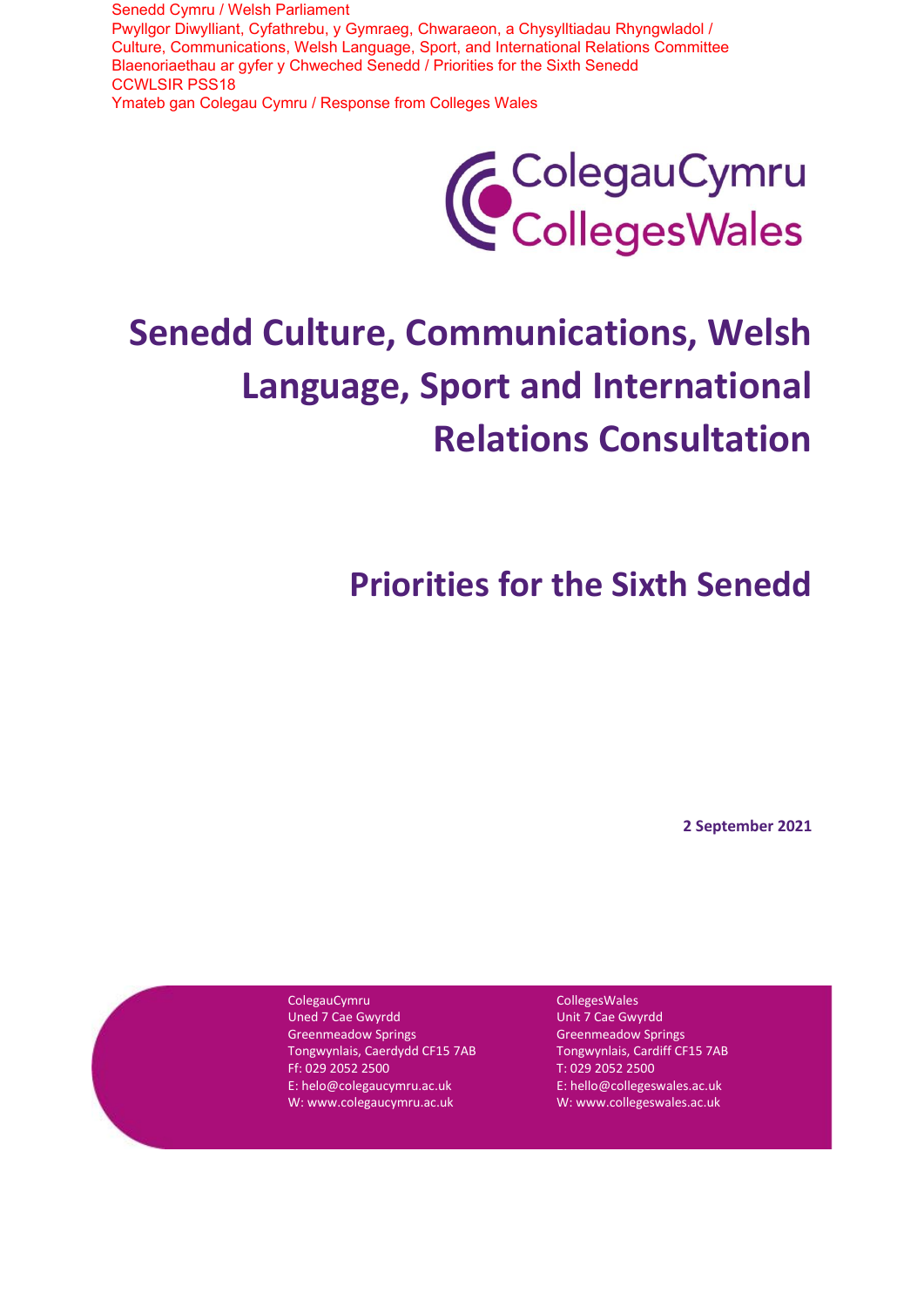Senedd Cymru / Welsh Parliament Pwyllgor Diwylliant, Cyfathrebu, y Gymraeg, Chwaraeon, a Chysylltiadau Rhyngwladol / Culture, Communications, Welsh Language, Sport, and International Relations Committee Blaenoriaethau ar gyfer y Chweched Senedd / Priorities for the Sixth Senedd CCWLSIR PSS18 Ymateb gan Colegau Cymru / Response from Colleges Wales



# **Senedd Culture, Communications, Welsh Language, Sport and International Relations Consultation**

**Priorities for the Sixth Senedd**

**2 September 2021**

ColegauCymru

Uned 7 Cae Gwyrdd Greenmeadow Springs Tongwynlais, Caerdydd CF15 7AB Ff: 029 2052 2500 E: helo@colegaucymru.ac.uk W: www.colegaucymru.ac.uk

CollegesWales Unit 7 Cae Gwyrdd Greenmeadow Springs Tongwynlais, Cardiff CF15 7AB T: 029 2052 2500 E: hello@collegeswales.ac.uk W: www.collegeswales.ac.uk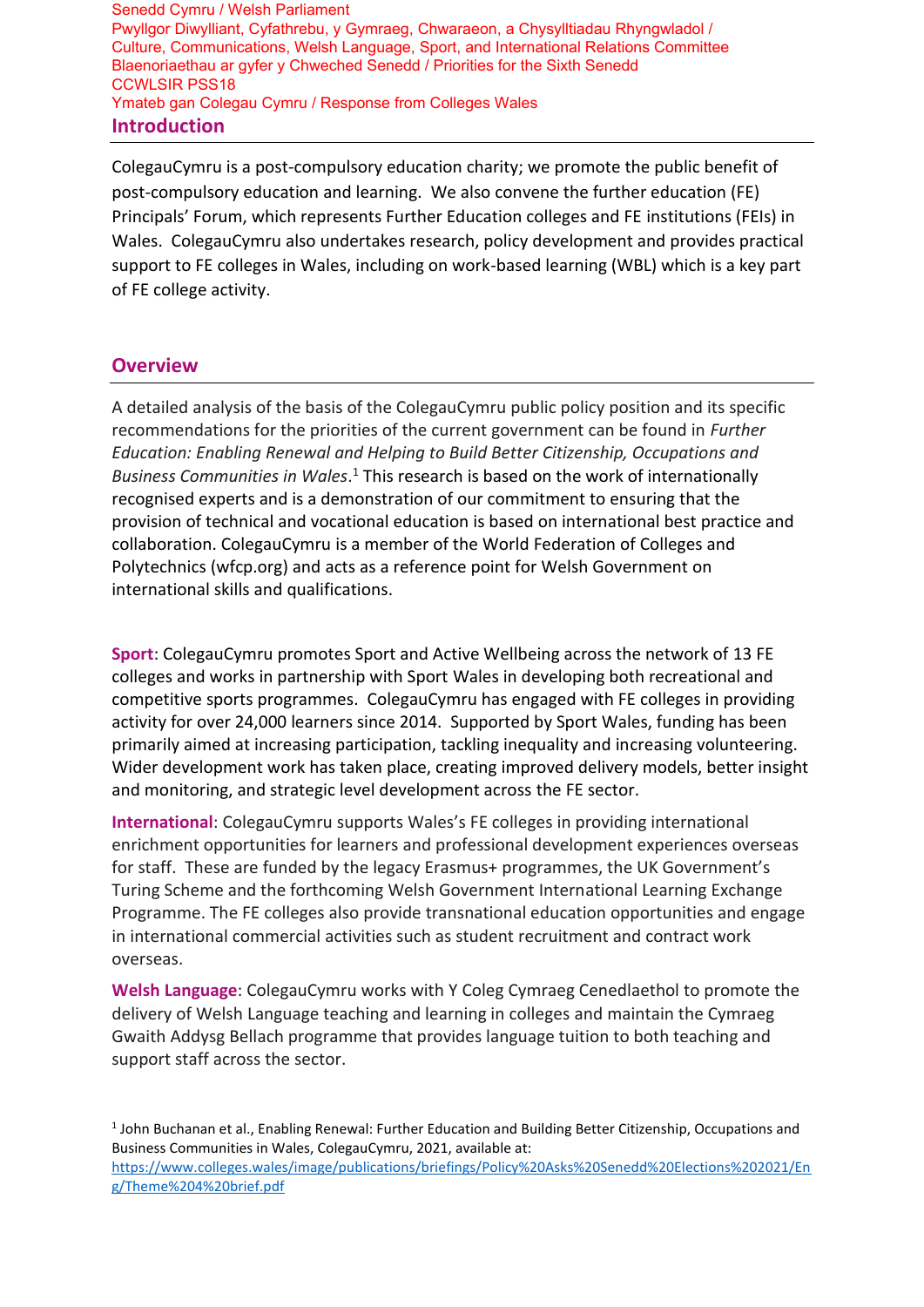**Introduction** Senedd Cymru / Welsh Parliament Pwyllgor Diwylliant, Cyfathrebu, y Gymraeg, Chwaraeon, a Chysylltiadau Rhyngwladol / Culture, Communications, Welsh Language, Sport, and International Relations Committee Blaenoriaethau ar gyfer y Chweched Senedd / Priorities for the Sixth Senedd CCWLSIR PSS18 Ymateb gan Colegau Cymru / Response from Colleges Wales

ColegauCymru is a post-compulsory education charity; we promote the public benefit of post-compulsory education and learning. We also convene the further education (FE) Principals' Forum, which represents Further Education colleges and FE institutions (FEIs) in Wales. ColegauCymru also undertakes research, policy development and provides practical support to FE colleges in Wales, including on work-based learning (WBL) which is a key part of FE college activity.

## **Overview**

A detailed analysis of the basis of the ColegauCymru public policy position and its specific recommendations for the priorities of the current government can be found in *Further Education: Enabling Renewal and Helping to Build Better Citizenship, Occupations and Business Communities in Wales*. <sup>1</sup> This research is based on the work of internationally recognised experts and is a demonstration of our commitment to ensuring that the provision of technical and vocational education is based on international best practice and collaboration. ColegauCymru is a member of the World Federation of Colleges and Polytechnics (wfcp.org) and acts as a reference point for Welsh Government on international skills and qualifications.

**Sport**: ColegauCymru promotes Sport and Active Wellbeing across the network of 13 FE colleges and works in partnership with Sport Wales in developing both recreational and competitive sports programmes. ColegauCymru has engaged with FE colleges in providing activity for over 24,000 learners since 2014. Supported by Sport Wales, funding has been primarily aimed at increasing participation, tackling inequality and increasing volunteering. Wider development work has taken place, creating improved delivery models, better insight and monitoring, and strategic level development across the FE sector.

**International**: ColegauCymru supports Wales's FE colleges in providing international enrichment opportunities for learners and professional development experiences overseas for staff. These are funded by the legacy Erasmus+ programmes, the UK Government's Turing Scheme and the forthcoming Welsh Government International Learning Exchange Programme. The FE colleges also provide transnational education opportunities and engage in international commercial activities such as student recruitment and contract work overseas.

**Welsh Language**: ColegauCymru works with Y Coleg Cymraeg Cenedlaethol to promote the delivery of Welsh Language teaching and learning in colleges and maintain the Cymraeg Gwaith Addysg Bellach programme that provides language tuition to both teaching and support staff across the sector.

<sup>1</sup> John Buchanan et al., Enabling Renewal: Further Education and Building Better Citizenship, Occupations and Business Communities in Wales, ColegauCymru, 2021, available at:

[https://www.colleges.wales/image/publications/briefings/Policy%20Asks%20Senedd%20Elections%202021/En](https://www.colleges.wales/image/publications/briefings/Policy%20Asks%20Senedd%20Elections%202021/Eng/Theme%204%20brief.pdf) [g/Theme%204%20brief.pdf](https://www.colleges.wales/image/publications/briefings/Policy%20Asks%20Senedd%20Elections%202021/Eng/Theme%204%20brief.pdf)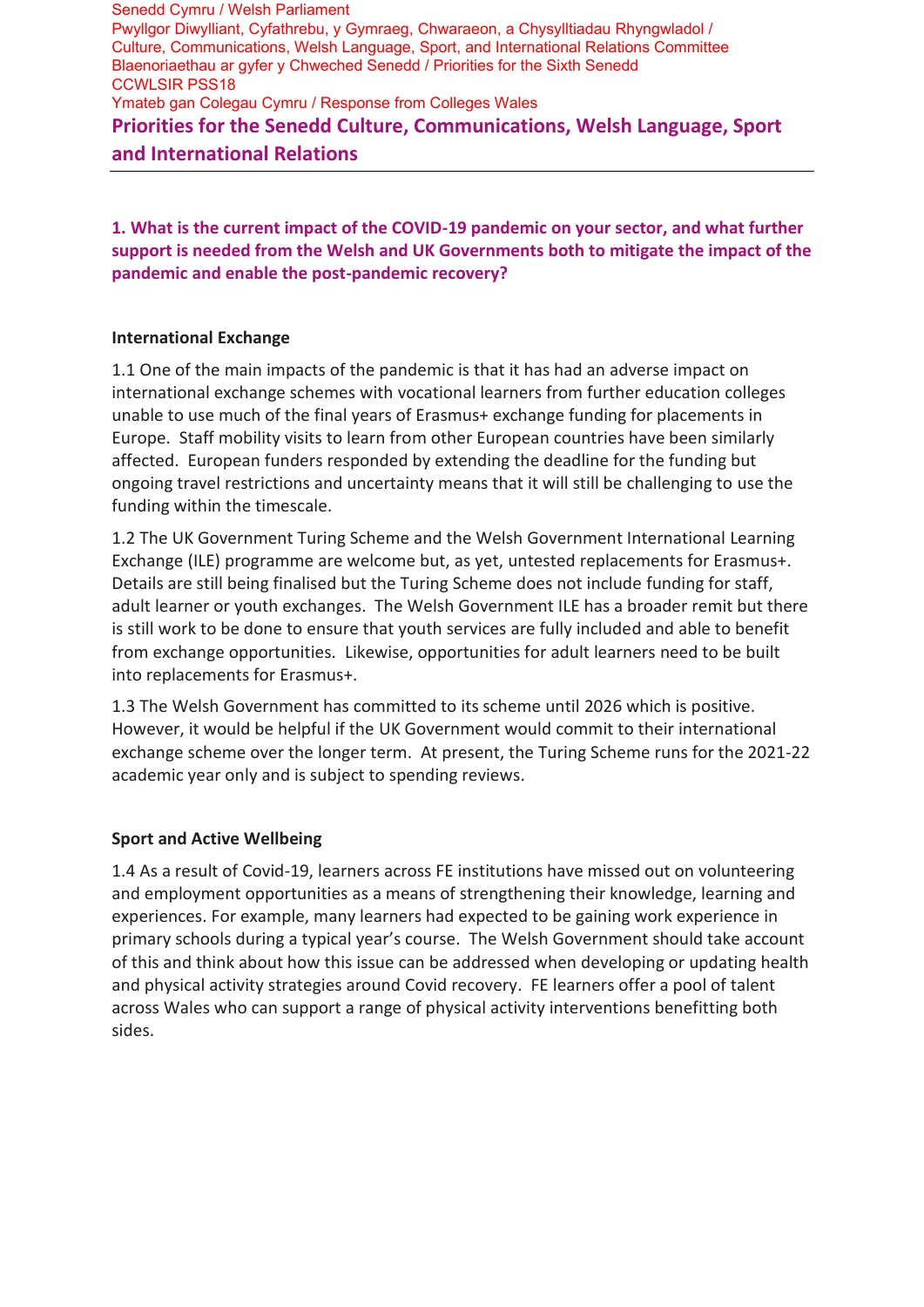**Priorities for the Senedd Culture, Communications, Welsh Language, Sport and International Relations** Senedd Cymru / Welsh Parliament Pwyllgor Diwylliant, Cyfathrebu, y Gymraeg, Chwaraeon, a Chysylltiadau Rhyngwladol / Culture, Communications, Welsh Language, Sport, and International Relations Committee Blaenoriaethau ar gyfer y Chweched Senedd / Priorities for the Sixth Senedd CCWLSIR PSS18 Ymateb gan Colegau Cymru / Response from Colleges Wales

**1. What is the current impact of the COVID-19 pandemic on your sector, and what further support is needed from the Welsh and UK Governments both to mitigate the impact of the pandemic and enable the post-pandemic recovery?**

## **International Exchange**

1.1 One of the main impacts of the pandemic is that it has had an adverse impact on international exchange schemes with vocational learners from further education colleges unable to use much of the final years of Erasmus+ exchange funding for placements in Europe. Staff mobility visits to learn from other European countries have been similarly affected. European funders responded by extending the deadline for the funding but ongoing travel restrictions and uncertainty means that it will still be challenging to use the funding within the timescale.

1.2 The UK Government Turing Scheme and the Welsh Government International Learning Exchange (ILE) programme are welcome but, as yet, untested replacements for Erasmus+. Details are still being finalised but the Turing Scheme does not include funding for staff, adult learner or youth exchanges. The Welsh Government ILE has a broader remit but there is still work to be done to ensure that youth services are fully included and able to benefit from exchange opportunities. Likewise, opportunities for adult learners need to be built into replacements for Erasmus+.

1.3 The Welsh Government has committed to its scheme until 2026 which is positive. However, it would be helpful if the UK Government would commit to their international exchange scheme over the longer term. At present, the Turing Scheme runs for the 2021-22 academic year only and is subject to spending reviews.

## **Sport and Active Wellbeing**

1.4 As a result of Covid-19, learners across FE institutions have missed out on volunteering and employment opportunities as a means of strengthening their knowledge, learning and experiences. For example, many learners had expected to be gaining work experience in primary schools during a typical year's course. The Welsh Government should take account of this and think about how this issue can be addressed when developing or updating health and physical activity strategies around Covid recovery. FE learners offer a pool of talent across Wales who can support a range of physical activity interventions benefitting both sides.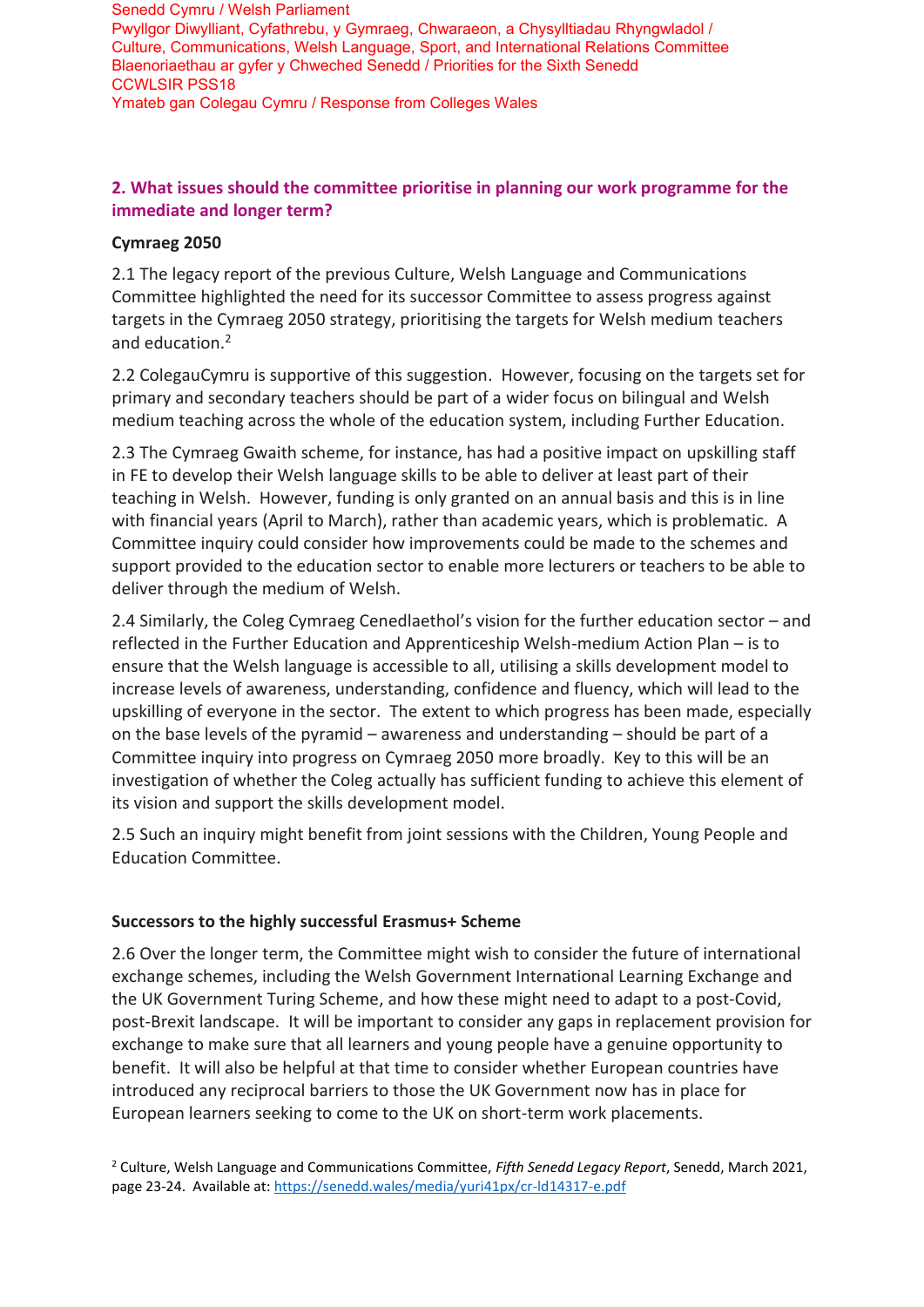Senedd Cymru / Welsh Parliament Pwyllgor Diwylliant, Cyfathrebu, y Gymraeg, Chwaraeon, a Chysylltiadau Rhyngwladol / Culture, Communications, Welsh Language, Sport, and International Relations Committee Blaenoriaethau ar gyfer y Chweched Senedd / Priorities for the Sixth Senedd CCWLSIR PSS18 Ymateb gan Colegau Cymru / Response from Colleges Wales

## **2. What issues should the committee prioritise in planning our work programme for the immediate and longer term?**

## **Cymraeg 2050**

2.1 The legacy report of the previous Culture, Welsh Language and Communications Committee highlighted the need for its successor Committee to assess progress against targets in the Cymraeg 2050 strategy, prioritising the targets for Welsh medium teachers and education.<sup>2</sup>

2.2 ColegauCymru is supportive of this suggestion. However, focusing on the targets set for primary and secondary teachers should be part of a wider focus on bilingual and Welsh medium teaching across the whole of the education system, including Further Education.

2.3 The Cymraeg Gwaith scheme, for instance, has had a positive impact on upskilling staff in FE to develop their Welsh language skills to be able to deliver at least part of their teaching in Welsh. However, funding is only granted on an annual basis and this is in line with financial years (April to March), rather than academic years, which is problematic. A Committee inquiry could consider how improvements could be made to the schemes and support provided to the education sector to enable more lecturers or teachers to be able to deliver through the medium of Welsh.

2.4 Similarly, the Coleg Cymraeg Cenedlaethol's vision for the further education sector – and reflected in the Further Education and Apprenticeship Welsh-medium Action Plan – is to ensure that the Welsh language is accessible to all, utilising a skills development model to increase levels of awareness, understanding, confidence and fluency, which will lead to the upskilling of everyone in the sector. The extent to which progress has been made, especially on the base levels of the pyramid – awareness and understanding – should be part of a Committee inquiry into progress on Cymraeg 2050 more broadly. Key to this will be an investigation of whether the Coleg actually has sufficient funding to achieve this element of its vision and support the skills development model.

2.5 Such an inquiry might benefit from joint sessions with the Children, Young People and Education Committee.

## **Successors to the highly successful Erasmus+ Scheme**

2.6 Over the longer term, the Committee might wish to consider the future of international exchange schemes, including the Welsh Government International Learning Exchange and the UK Government Turing Scheme, and how these might need to adapt to a post-Covid, post-Brexit landscape. It will be important to consider any gaps in replacement provision for exchange to make sure that all learners and young people have a genuine opportunity to benefit. It will also be helpful at that time to consider whether European countries have introduced any reciprocal barriers to those the UK Government now has in place for European learners seeking to come to the UK on short-term work placements.

<sup>2</sup> Culture, Welsh Language and Communications Committee, *Fifth Senedd Legacy Report*, Senedd, March 2021, page 23-24. Available at[: https://senedd.wales/media/yuri41px/cr-ld14317-e.pdf](https://senedd.wales/media/yuri41px/cr-ld14317-e.pdf)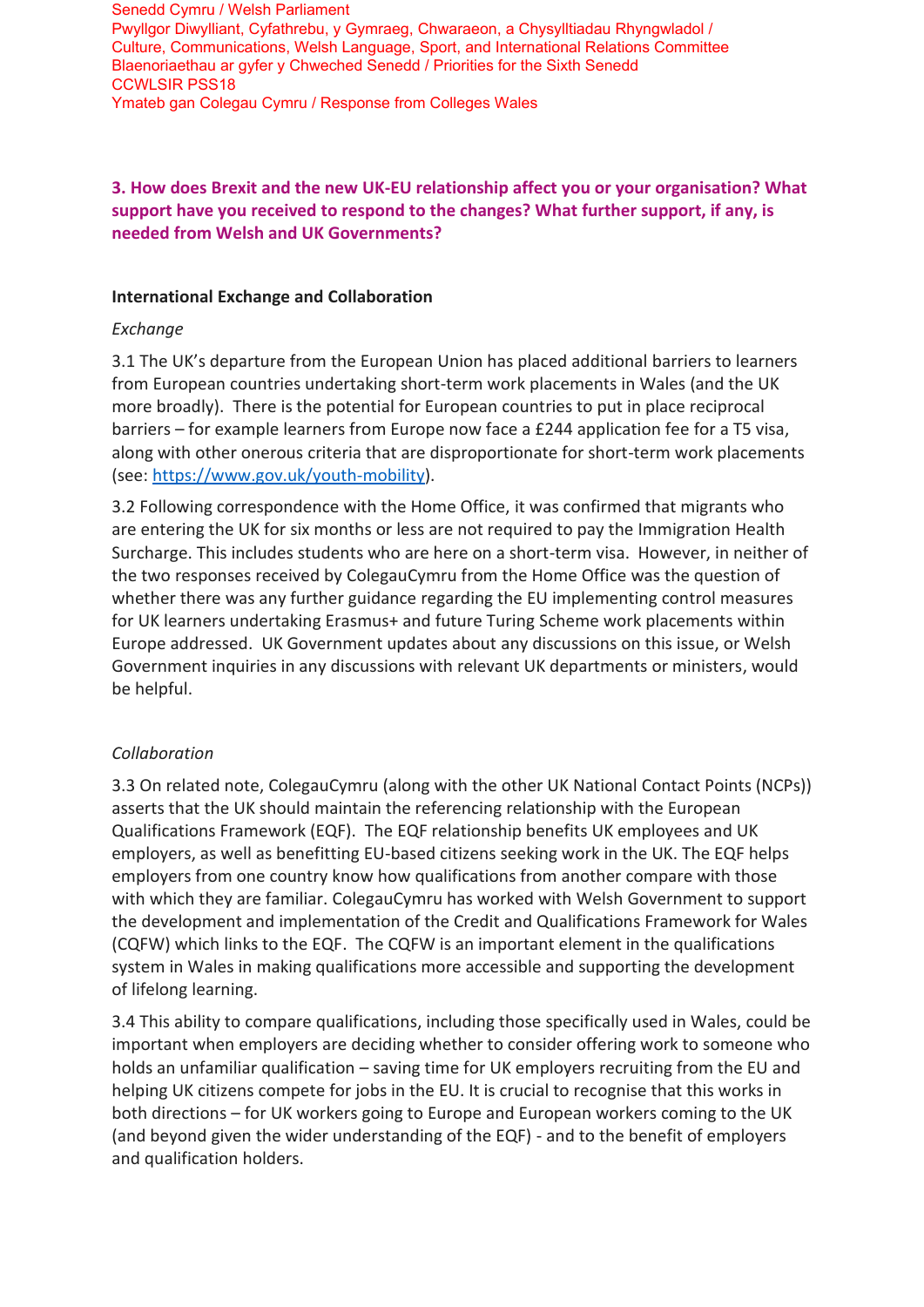Senedd Cymru / Welsh Parliament Pwyllgor Diwylliant, Cyfathrebu, y Gymraeg, Chwaraeon, a Chysylltiadau Rhyngwladol / Culture, Communications, Welsh Language, Sport, and International Relations Committee Blaenoriaethau ar gyfer y Chweched Senedd / Priorities for the Sixth Senedd CCWLSIR PSS18 Ymateb gan Colegau Cymru / Response from Colleges Wales

## **3. How does Brexit and the new UK-EU relationship affect you or your organisation? What support have you received to respond to the changes? What further support, if any, is needed from Welsh and UK Governments?**

## **International Exchange and Collaboration**

## *Exchange*

3.1 The UK's departure from the European Union has placed additional barriers to learners from European countries undertaking short-term work placements in Wales (and the UK more broadly). There is the potential for European countries to put in place reciprocal barriers – for example learners from Europe now face a £244 application fee for a T5 visa, along with other onerous criteria that are disproportionate for short-term work placements (see: [https://www.gov.uk/youth-mobility\)](https://www.gov.uk/youth-mobility).

3.2 Following correspondence with the Home Office, it was confirmed that migrants who are entering the UK for six months or less are not required to pay the Immigration Health Surcharge. This includes students who are here on a short-term visa. However, in neither of the two responses received by ColegauCymru from the Home Office was the question of whether there was any further guidance regarding the EU implementing control measures for UK learners undertaking Erasmus+ and future Turing Scheme work placements within Europe addressed. UK Government updates about any discussions on this issue, or Welsh Government inquiries in any discussions with relevant UK departments or ministers, would be helpful.

## *Collaboration*

3.3 On related note, ColegauCymru (along with the other UK National Contact Points (NCPs)) asserts that the UK should maintain the referencing relationship with the European Qualifications Framework (EQF). The EQF relationship benefits UK employees and UK employers, as well as benefitting EU-based citizens seeking work in the UK. The EQF helps employers from one country know how qualifications from another compare with those with which they are familiar. ColegauCymru has worked with Welsh Government to support the development and implementation of the Credit and Qualifications Framework for Wales (CQFW) which links to the EQF. The CQFW is an important element in the qualifications system in Wales in making qualifications more accessible and supporting the development of lifelong learning.

3.4 This ability to compare qualifications, including those specifically used in Wales, could be important when employers are deciding whether to consider offering work to someone who holds an unfamiliar qualification – saving time for UK employers recruiting from the EU and helping UK citizens compete for jobs in the EU. It is crucial to recognise that this works in both directions – for UK workers going to Europe and European workers coming to the UK (and beyond given the wider understanding of the EQF) - and to the benefit of employers and qualification holders.